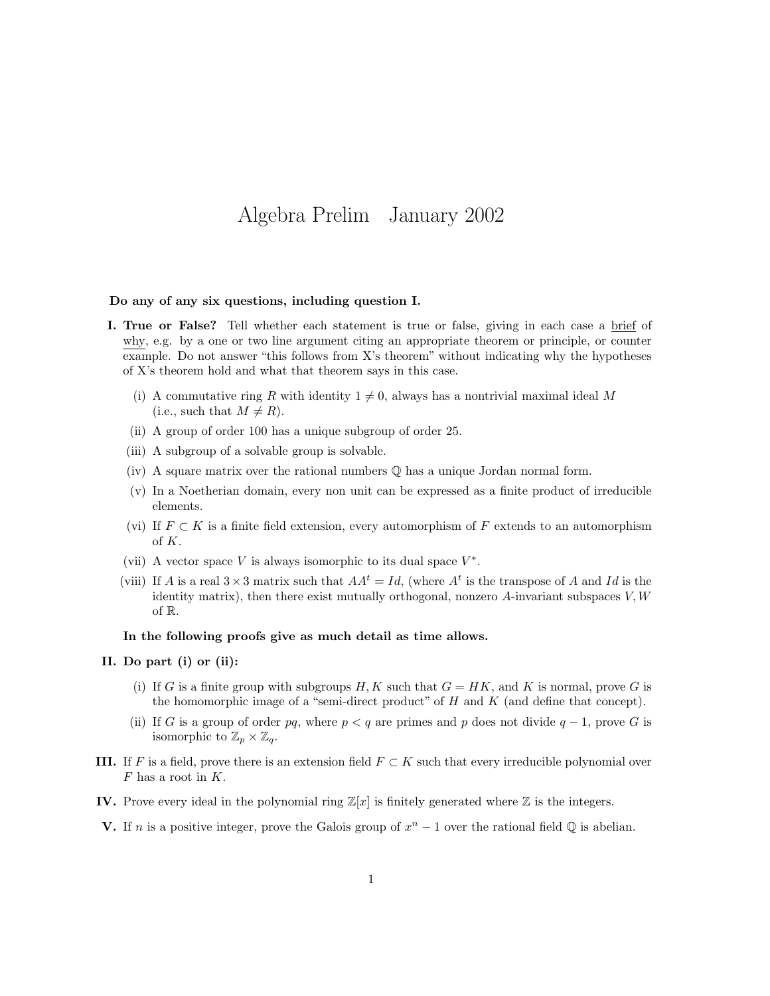# Algebra Prelim January 2002

#### Do any of any six questions, including question I.

- I. True or False? Tell whether each statement is true or false, giving in each case a brief of why, e.g. by a one or two line argument citing an appropriate theorem or principle, or counter example. Do not answer "this follows from X's theorem" without indicating why the hypotheses of X's theorem hold and what that theorem says in this case.
	- (i) A commutative ring R with identity  $1 \neq 0$ , always has a nontrivial maximal ideal M (i.e., such that  $M \neq R$ ).
	- (ii) A group of order 100 has a unique subgroup of order 25.
	- (iii) A subgroup of a solvable group is solvable.
	- (iv) A square matrix over the rational numbers  $\mathbb Q$  has a unique Jordan normal form.
	- (v) In a Noetherian domain, every non unit can be expressed as a finite product of irreducible elements.
	- (vi) If  $F \subset K$  is a finite field extension, every automorphism of F extends to an automorphism of K.
	- (vii) A vector space V is always isomorphic to its dual space  $V^*$ .
	- (viii) If A is a real  $3 \times 3$  matrix such that  $AA^t = Id$ , (where  $A^t$  is the transpose of A and Id is the identity matrix), then there exist mutually orthogonal, nonzero  $A$ -invariant subspaces  $V, W$ of R.

### In the following proofs give as much detail as time allows.

## II. Do part (i) or (ii):

- (i) If G is a finite group with subgroups H, K such that  $G = HK$ , and K is normal, prove G is the homomorphic image of a "semi-direct product" of  $H$  and  $K$  (and define that concept).
- (ii) If G is a group of order pq, where  $p < q$  are primes and p does not divide  $q 1$ , prove G is isomorphic to  $\mathbb{Z}_p\times\mathbb{Z}_q$ .
- III. If F is a field, prove there is an extension field  $F \subset K$  such that every irreducible polynomial over  $F$  has a root in  $K$ .
- IV. Prove every ideal in the polynomial ring  $\mathbb{Z}[x]$  is finitely generated where  $\mathbb Z$  is the integers.
- **V.** If *n* is a positive integer, prove the Galois group of  $x^n 1$  over the rational field  $\mathbb Q$  is abelian.